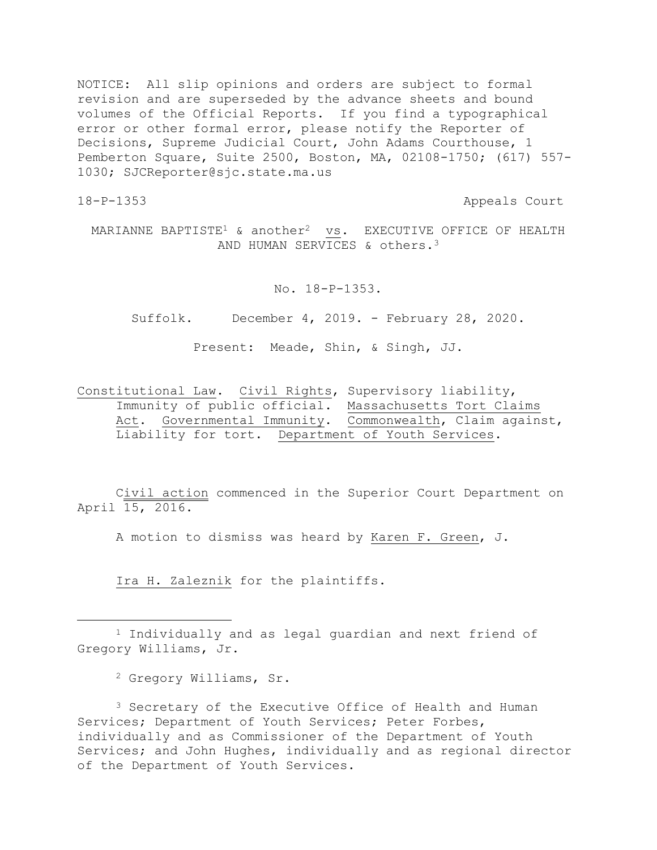NOTICE: All slip opinions and orders are subject to formal revision and are superseded by the advance sheets and bound volumes of the Official Reports. If you find a typographical error or other formal error, please notify the Reporter of Decisions, Supreme Judicial Court, John Adams Courthouse, 1 Pemberton Square, Suite 2500, Boston, MA, 02108-1750; (617) 557- 1030; SJCReporter@sjc.state.ma.us

a<br>B

18-P-1353 Appeals Court

MARIANNE BAPTISTE<sup>1</sup> & another<sup>2</sup> vs. EXECUTIVE OFFICE OF HEALTH AND HUMAN SERVICES & others.<sup>3</sup>

No. 18-P-1353.

Suffolk. December 4, 2019. - February 28, 2020.

Present: Meade, Shin, & Singh, JJ.

Constitutional Law. Civil Rights, Supervisory liability, Immunity of public official. Massachusetts Tort Claims Act. Governmental Immunity. Commonwealth, Claim against, Liability for tort. Department of Youth Services.

Civil action commenced in the Superior Court Department on April 15, 2016.

A motion to dismiss was heard by Karen F. Green, J.

Ira H. Zaleznik for the plaintiffs.

<sup>2</sup> Gregory Williams, Sr.

<sup>3</sup> Secretary of the Executive Office of Health and Human Services; Department of Youth Services; Peter Forbes, individually and as Commissioner of the Department of Youth Services; and John Hughes, individually and as regional director of the Department of Youth Services.

<sup>1</sup> Individually and as legal guardian and next friend of Gregory Williams, Jr.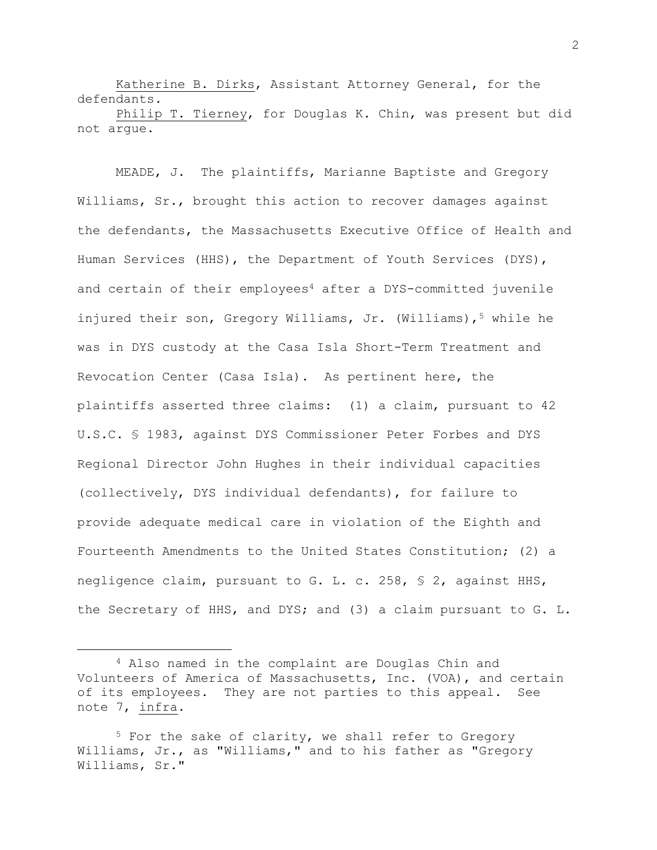Katherine B. Dirks, Assistant Attorney General, for the defendants.

Philip T. Tierney, for Douglas K. Chin, was present but did not argue.

MEADE, J. The plaintiffs, Marianne Baptiste and Gregory Williams, Sr., brought this action to recover damages against the defendants, the Massachusetts Executive Office of Health and Human Services (HHS), the Department of Youth Services (DYS), and certain of their employees<sup>4</sup> after a DYS-committed juvenile injured their son, Gregory Williams, Jr. (Williams),<sup>5</sup> while he was in DYS custody at the Casa Isla Short-Term Treatment and Revocation Center (Casa Isla). As pertinent here, the plaintiffs asserted three claims: (1) a claim, pursuant to 42 U.S.C. § 1983, against DYS Commissioner Peter Forbes and DYS Regional Director John Hughes in their individual capacities (collectively, DYS individual defendants), for failure to provide adequate medical care in violation of the Eighth and Fourteenth Amendments to the United States Constitution; (2) a negligence claim, pursuant to G. L. c. 258, § 2, against HHS, the Secretary of HHS, and DYS; and (3) a claim pursuant to G. L.

a<br>B

<sup>4</sup> Also named in the complaint are Douglas Chin and Volunteers of America of Massachusetts, Inc. (VOA), and certain of its employees. They are not parties to this appeal. See note 7, infra.

<sup>&</sup>lt;sup>5</sup> For the sake of clarity, we shall refer to Gregory Williams, Jr., as "Williams," and to his father as "Gregory Williams, Sr."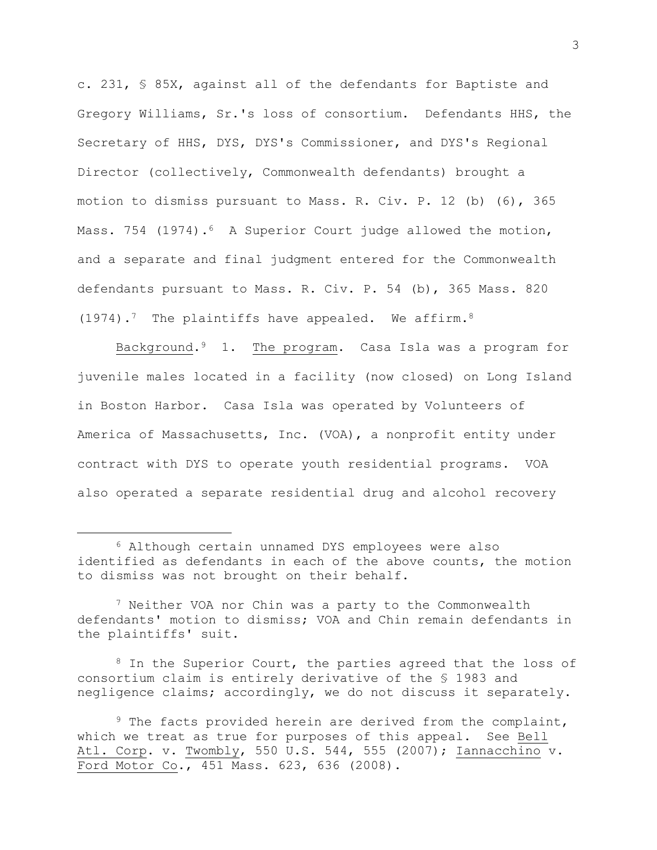c. 231, § 85X, against all of the defendants for Baptiste and Gregory Williams, Sr.'s loss of consortium. Defendants HHS, the Secretary of HHS, DYS, DYS's Commissioner, and DYS's Regional Director (collectively, Commonwealth defendants) brought a motion to dismiss pursuant to Mass. R. Civ. P. 12 (b) (6), 365 Mass. 754 (1974).<sup>6</sup> A Superior Court judge allowed the motion, and a separate and final judgment entered for the Commonwealth defendants pursuant to Mass. R. Civ. P. 54 (b), 365 Mass. 820  $(1974)$ .<sup>7</sup> The plaintiffs have appealed. We affirm.<sup>8</sup>

Background.9 1. The program. Casa Isla was a program for juvenile males located in a facility (now closed) on Long Island in Boston Harbor. Casa Isla was operated by Volunteers of America of Massachusetts, Inc. (VOA), a nonprofit entity under contract with DYS to operate youth residential programs. VOA also operated a separate residential drug and alcohol recovery

a<br>B

<sup>8</sup> In the Superior Court, the parties agreed that the loss of consortium claim is entirely derivative of the § 1983 and negligence claims; accordingly, we do not discuss it separately.

<sup>6</sup> Although certain unnamed DYS employees were also identified as defendants in each of the above counts, the motion to dismiss was not brought on their behalf.

<sup>7</sup> Neither VOA nor Chin was a party to the Commonwealth defendants' motion to dismiss; VOA and Chin remain defendants in the plaintiffs' suit.

<sup>&</sup>lt;sup>9</sup> The facts provided herein are derived from the complaint, which we treat as true for purposes of this appeal. See Bell Atl. Corp. v. Twombly, 550 U.S. 544, 555 (2007); Iannacchino v. Ford Motor Co., 451 Mass. 623, 636 (2008).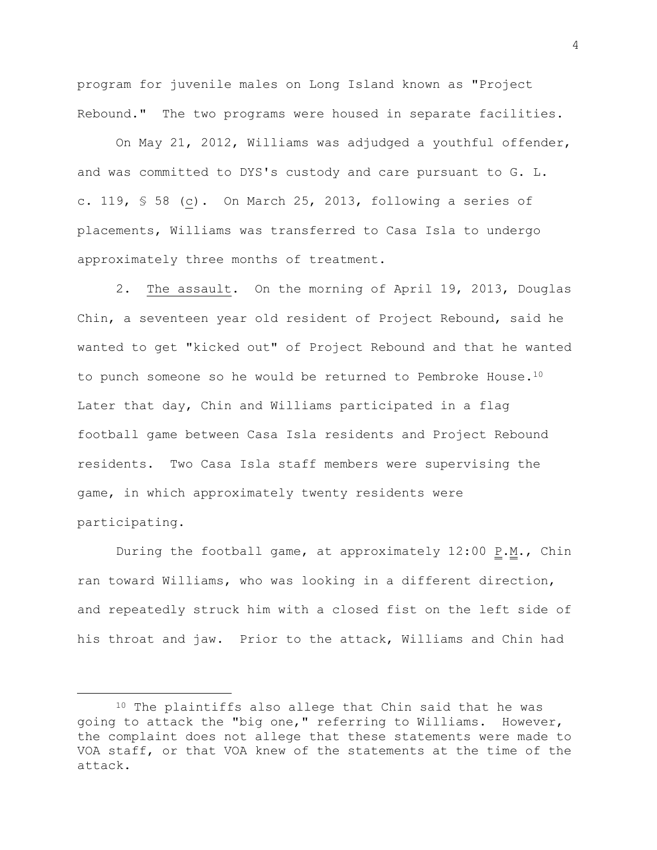program for juvenile males on Long Island known as "Project Rebound." The two programs were housed in separate facilities.

On May 21, 2012, Williams was adjudged a youthful offender, and was committed to DYS's custody and care pursuant to G. L. c. 119, § 58 (c). On March 25, 2013, following a series of placements, Williams was transferred to Casa Isla to undergo approximately three months of treatment.

2. The assault. On the morning of April 19, 2013, Douglas Chin, a seventeen year old resident of Project Rebound, said he wanted to get "kicked out" of Project Rebound and that he wanted to punch someone so he would be returned to Pembroke House.<sup>10</sup> Later that day, Chin and Williams participated in a flag football game between Casa Isla residents and Project Rebound residents. Two Casa Isla staff members were supervising the game, in which approximately twenty residents were participating.

During the football game, at approximately  $12:00 \text{ P.M.}$ , Chin ran toward Williams, who was looking in a different direction, and repeatedly struck him with a closed fist on the left side of his throat and jaw. Prior to the attack, Williams and Chin had

i<br>L

<sup>10</sup> The plaintiffs also allege that Chin said that he was going to attack the "big one," referring to Williams. However, the complaint does not allege that these statements were made to VOA staff, or that VOA knew of the statements at the time of the attack.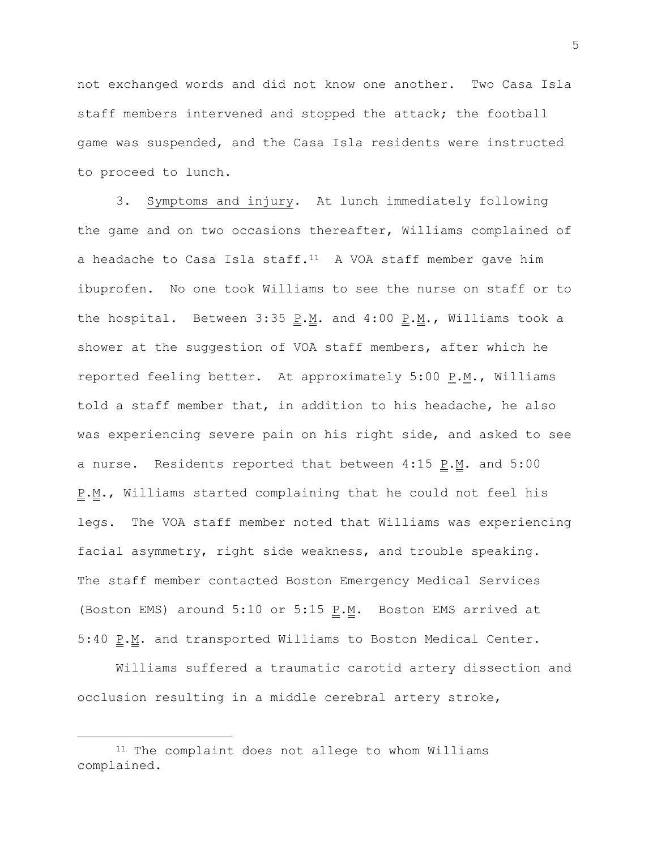not exchanged words and did not know one another. Two Casa Isla staff members intervened and stopped the attack; the football game was suspended, and the Casa Isla residents were instructed to proceed to lunch.

3. Symptoms and injury. At lunch immediately following the game and on two occasions thereafter, Williams complained of a headache to Casa Isla staff.<sup>11</sup> A VOA staff member gave him ibuprofen. No one took Williams to see the nurse on staff or to the hospital. Between  $3:35 \underline{P.M.}$  and  $4:00 \underline{P.M.}$ , Williams took a shower at the suggestion of VOA staff members, after which he reported feeling better. At approximately  $5:00$  P.M., Williams told a staff member that, in addition to his headache, he also was experiencing severe pain on his right side, and asked to see a nurse. Residents reported that between  $4:15$   $P.M.$  and  $5:00$ P.M., Williams started complaining that he could not feel his legs. The VOA staff member noted that Williams was experiencing facial asymmetry, right side weakness, and trouble speaking. The staff member contacted Boston Emergency Medical Services (Boston EMS) around  $5:10$  or  $5:15$  P.M. Boston EMS arrived at 5:40  $\underline{P.M.}$  and transported Williams to Boston Medical Center.

Williams suffered a traumatic carotid artery dissection and occlusion resulting in a middle cerebral artery stroke,

i<br>L

<sup>&</sup>lt;sup>11</sup> The complaint does not allege to whom Williams complained.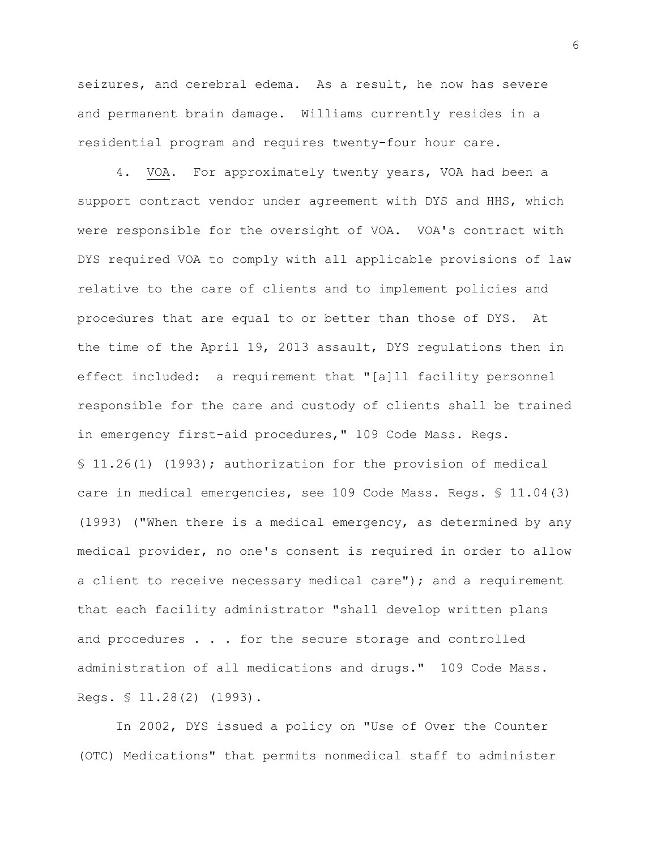seizures, and cerebral edema. As a result, he now has severe and permanent brain damage. Williams currently resides in a residential program and requires twenty-four hour care.

4. VOA. For approximately twenty years, VOA had been a support contract vendor under agreement with DYS and HHS, which were responsible for the oversight of VOA. VOA's contract with DYS required VOA to comply with all applicable provisions of law relative to the care of clients and to implement policies and procedures that are equal to or better than those of DYS. At the time of the April 19, 2013 assault, DYS regulations then in effect included: a requirement that "[a]ll facility personnel responsible for the care and custody of clients shall be trained in emergency first-aid procedures," 109 Code Mass. Regs. § 11.26(1) (1993); authorization for the provision of medical care in medical emergencies, see 109 Code Mass. Regs. § 11.04(3) (1993) ("When there is a medical emergency, as determined by any medical provider, no one's consent is required in order to allow a client to receive necessary medical care"); and a requirement that each facility administrator "shall develop written plans and procedures . . . for the secure storage and controlled administration of all medications and drugs." 109 Code Mass. Regs. § 11.28(2) (1993).

In 2002, DYS issued a policy on "Use of Over the Counter (OTC) Medications" that permits nonmedical staff to administer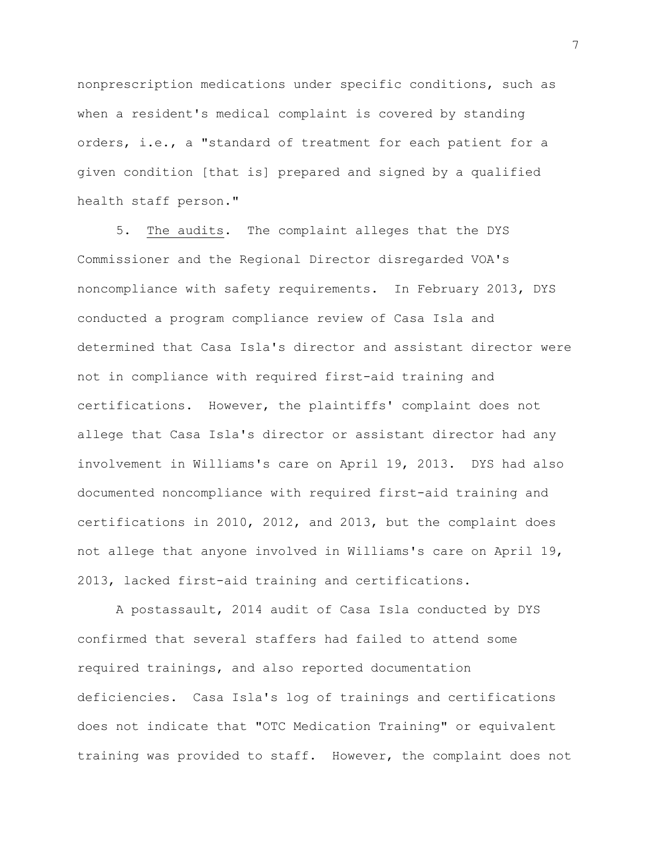nonprescription medications under specific conditions, such as when a resident's medical complaint is covered by standing orders, i.e., a "standard of treatment for each patient for a given condition [that is] prepared and signed by a qualified health staff person."

5. The audits. The complaint alleges that the DYS Commissioner and the Regional Director disregarded VOA's noncompliance with safety requirements. In February 2013, DYS conducted a program compliance review of Casa Isla and determined that Casa Isla's director and assistant director were not in compliance with required first-aid training and certifications. However, the plaintiffs' complaint does not allege that Casa Isla's director or assistant director had any involvement in Williams's care on April 19, 2013. DYS had also documented noncompliance with required first-aid training and certifications in 2010, 2012, and 2013, but the complaint does not allege that anyone involved in Williams's care on April 19, 2013, lacked first-aid training and certifications.

A postassault, 2014 audit of Casa Isla conducted by DYS confirmed that several staffers had failed to attend some required trainings, and also reported documentation deficiencies. Casa Isla's log of trainings and certifications does not indicate that "OTC Medication Training" or equivalent training was provided to staff. However, the complaint does not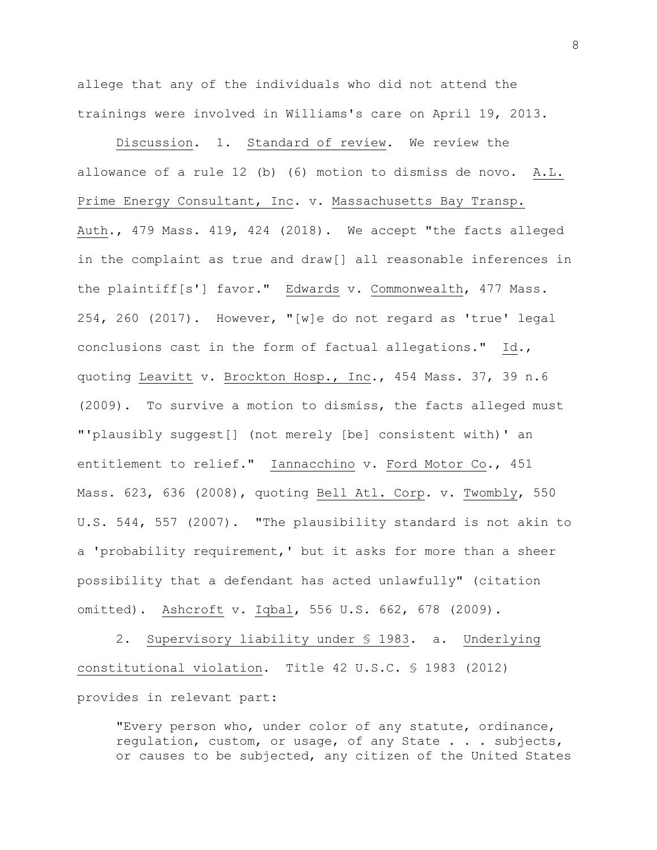allege that any of the individuals who did not attend the trainings were involved in Williams's care on April 19, 2013.

Discussion. 1. Standard of review. We review the allowance of a rule 12 (b) (6) motion to dismiss de novo. A.L. Prime Energy Consultant, Inc. v. Massachusetts Bay Transp. Auth., 479 Mass. 419, 424 (2018). We accept "the facts alleged in the complaint as true and draw[] all reasonable inferences in the plaintiff[s'] favor." Edwards v. Commonwealth, 477 Mass. 254, 260 (2017). However, "[w]e do not regard as 'true' legal conclusions cast in the form of factual allegations." Id., quoting Leavitt v. Brockton Hosp., Inc., 454 Mass. 37, 39 n.6 (2009). To survive a motion to dismiss, the facts alleged must "'plausibly suggest[] (not merely [be] consistent with)' an entitlement to relief." Iannacchino v. Ford Motor Co., 451 Mass. 623, 636 (2008), quoting Bell Atl. Corp. v. Twombly, 550 U.S. 544, 557 (2007). "The plausibility standard is not akin to a 'probability requirement,' but it asks for more than a sheer possibility that a defendant has acted unlawfully" (citation omitted). Ashcroft v. Iqbal, 556 U.S. 662, 678 (2009).

2. Supervisory liability under § 1983. a. Underlying constitutional violation. Title 42 U.S.C. § 1983 (2012) provides in relevant part:

"Every person who, under color of any statute, ordinance, regulation, custom, or usage, of any State . . . subjects, or causes to be subjected, any citizen of the United States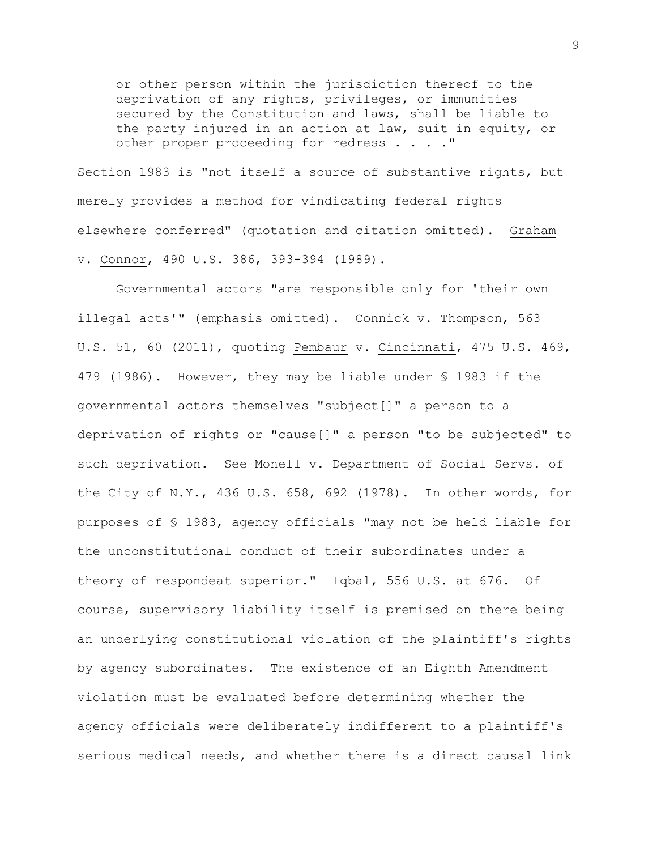or other person within the jurisdiction thereof to the deprivation of any rights, privileges, or immunities secured by the Constitution and laws, shall be liable to the party injured in an action at law, suit in equity, or other proper proceeding for redress . . . . "

Section 1983 is "not itself a source of substantive rights, but merely provides a method for vindicating federal rights elsewhere conferred" (quotation and citation omitted). Graham v. Connor, 490 U.S. 386, 393-394 (1989).

Governmental actors "are responsible only for 'their own illegal acts'" (emphasis omitted). Connick v. Thompson, 563 U.S. 51, 60 (2011), quoting Pembaur v. Cincinnati, 475 U.S. 469, 479 (1986). However, they may be liable under § 1983 if the governmental actors themselves "subject[]" a person to a deprivation of rights or "cause[]" a person "to be subjected" to such deprivation. See Monell v. Department of Social Servs. of the City of N.Y., 436 U.S. 658, 692 (1978). In other words, for purposes of § 1983, agency officials "may not be held liable for the unconstitutional conduct of their subordinates under a theory of respondeat superior." Iqbal, 556 U.S. at 676. Of course, supervisory liability itself is premised on there being an underlying constitutional violation of the plaintiff's rights by agency subordinates. The existence of an Eighth Amendment violation must be evaluated before determining whether the agency officials were deliberately indifferent to a plaintiff's serious medical needs, and whether there is a direct causal link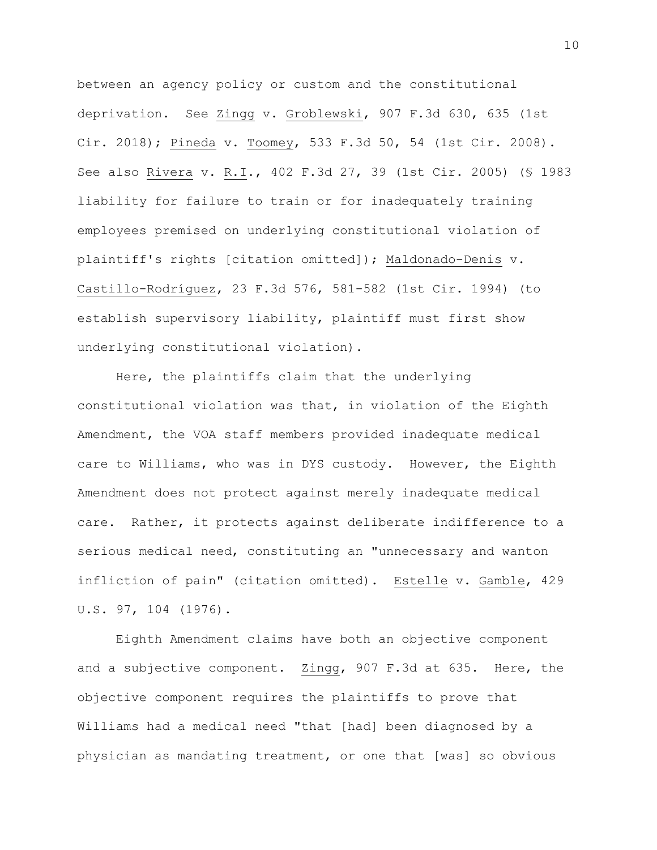between an agency policy or custom and the constitutional deprivation. See Zingg v. Groblewski, 907 F.3d 630, 635 (1st Cir. 2018); Pineda v. Toomey, 533 F.3d 50, 54 (1st Cir. 2008). See also Rivera v. R.I., 402 F.3d 27, 39 (1st Cir. 2005) (§ 1983 liability for failure to train or for inadequately training employees premised on underlying constitutional violation of plaintiff's rights [citation omitted]); Maldonado-Denis v. Castillo-Rodríguez, 23 F.3d 576, 581-582 (1st Cir. 1994) (to establish supervisory liability, plaintiff must first show underlying constitutional violation).

Here, the plaintiffs claim that the underlying constitutional violation was that, in violation of the Eighth Amendment, the VOA staff members provided inadequate medical care to Williams, who was in DYS custody. However, the Eighth Amendment does not protect against merely inadequate medical care. Rather, it protects against deliberate indifference to a serious medical need, constituting an "unnecessary and wanton infliction of pain" (citation omitted). Estelle v. Gamble, 429 U.S. 97, 104 (1976).

Eighth Amendment claims have both an objective component and a subjective component. Zingg, 907 F.3d at 635. Here, the objective component requires the plaintiffs to prove that Williams had a medical need "that [had] been diagnosed by a physician as mandating treatment, or one that [was] so obvious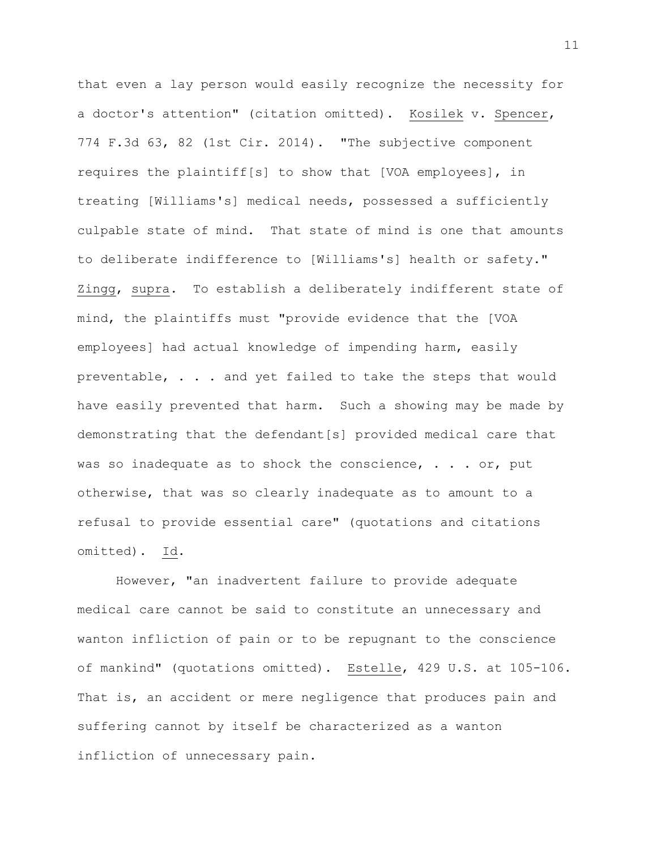that even a lay person would easily recognize the necessity for a doctor's attention" (citation omitted). Kosilek v. Spencer, 774 F.3d 63, 82 (1st Cir. 2014). "The subjective component requires the plaintiff[s] to show that [VOA employees], in treating [Williams's] medical needs, possessed a sufficiently culpable state of mind. That state of mind is one that amounts to deliberate indifference to [Williams's] health or safety." Zingg, supra. To establish a deliberately indifferent state of mind, the plaintiffs must "provide evidence that the [VOA employees] had actual knowledge of impending harm, easily preventable, . . . and yet failed to take the steps that would have easily prevented that harm. Such a showing may be made by demonstrating that the defendant[s] provided medical care that was so inadequate as to shock the conscience,  $\ldots$  or, put otherwise, that was so clearly inadequate as to amount to a refusal to provide essential care" (quotations and citations omitted). Id.

However, "an inadvertent failure to provide adequate medical care cannot be said to constitute an unnecessary and wanton infliction of pain or to be repugnant to the conscience of mankind" (quotations omitted). Estelle, 429 U.S. at 105-106. That is, an accident or mere negligence that produces pain and suffering cannot by itself be characterized as a wanton infliction of unnecessary pain.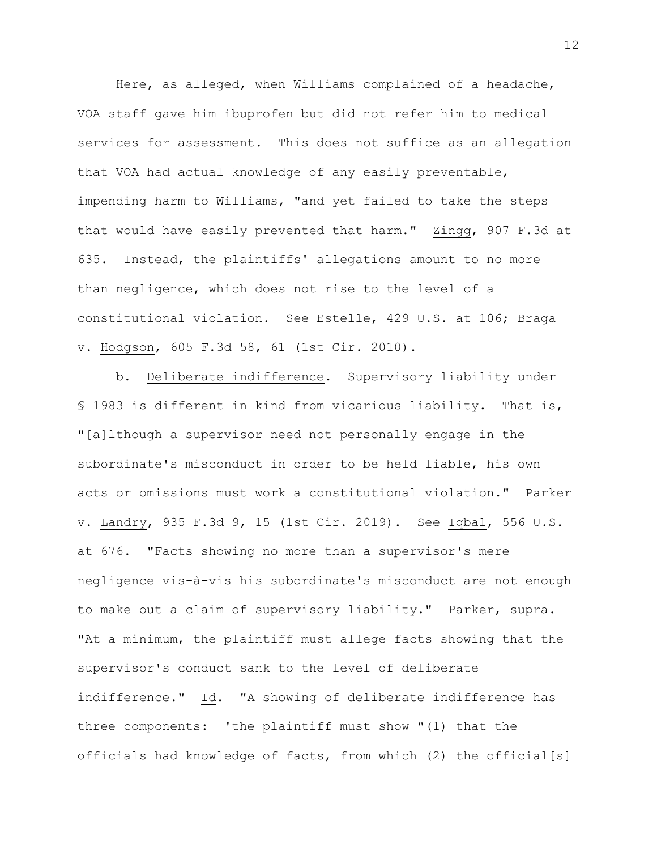Here, as alleged, when Williams complained of a headache, VOA staff gave him ibuprofen but did not refer him to medical services for assessment. This does not suffice as an allegation that VOA had actual knowledge of any easily preventable, impending harm to Williams, "and yet failed to take the steps that would have easily prevented that harm." Zingg, 907 F.3d at 635. Instead, the plaintiffs' allegations amount to no more than negligence, which does not rise to the level of a constitutional violation. See Estelle, 429 U.S. at 106; Braga v. Hodgson, 605 F.3d 58, 61 (1st Cir. 2010).

b. Deliberate indifference. Supervisory liability under § 1983 is different in kind from vicarious liability. That is, "[a]lthough a supervisor need not personally engage in the subordinate's misconduct in order to be held liable, his own acts or omissions must work a constitutional violation." Parker v. Landry, 935 F.3d 9, 15 (1st Cir. 2019). See Iqbal, 556 U.S. at 676. "Facts showing no more than a supervisor's mere negligence vis-à-vis his subordinate's misconduct are not enough to make out a claim of supervisory liability." Parker, supra. "At a minimum, the plaintiff must allege facts showing that the supervisor's conduct sank to the level of deliberate indifference." Id. "A showing of deliberate indifference has three components: 'the plaintiff must show "(1) that the officials had knowledge of facts, from which (2) the official[s]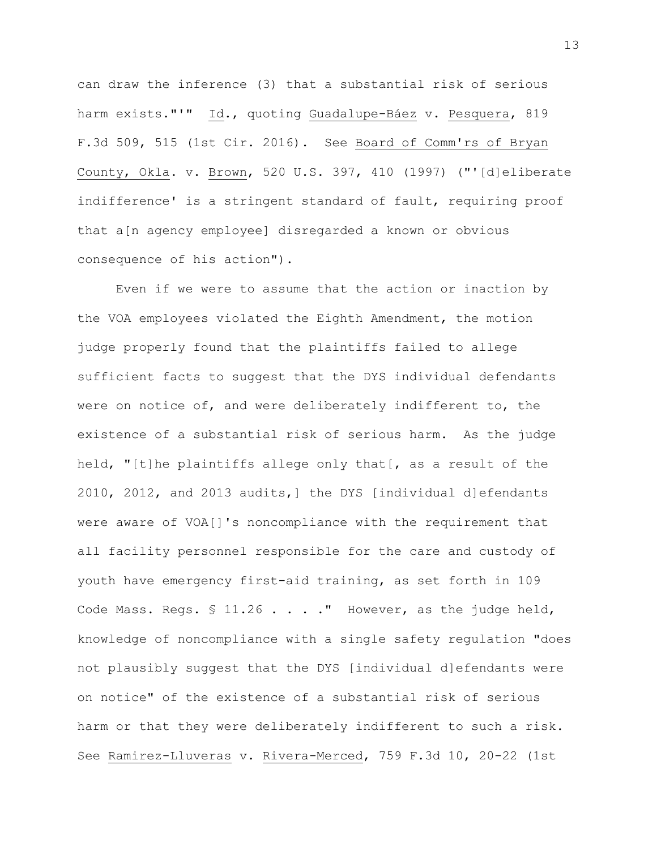can draw the inference (3) that a substantial risk of serious harm exists."'" Id., quoting Guadalupe-Báez v. Pesquera, 819 F.3d 509, 515 (1st Cir. 2016). See Board of Comm'rs of Bryan County, Okla. v. Brown, 520 U.S. 397, 410 (1997) ("'[d]eliberate indifference' is a stringent standard of fault, requiring proof that a[n agency employee] disregarded a known or obvious consequence of his action").

Even if we were to assume that the action or inaction by the VOA employees violated the Eighth Amendment, the motion judge properly found that the plaintiffs failed to allege sufficient facts to suggest that the DYS individual defendants were on notice of, and were deliberately indifferent to, the existence of a substantial risk of serious harm. As the judge held, "[t]he plaintiffs allege only that[, as a result of the 2010, 2012, and 2013 audits,] the DYS [individual d]efendants were aware of VOA[]'s noncompliance with the requirement that all facility personnel responsible for the care and custody of youth have emergency first-aid training, as set forth in 109 Code Mass. Regs. § 11.26 . . . . " However, as the judge held, knowledge of noncompliance with a single safety regulation "does not plausibly suggest that the DYS [individual d]efendants were on notice" of the existence of a substantial risk of serious harm or that they were deliberately indifferent to such a risk. See Ramirez-Lluveras v. Rivera-Merced, 759 F.3d 10, 20-22 (1st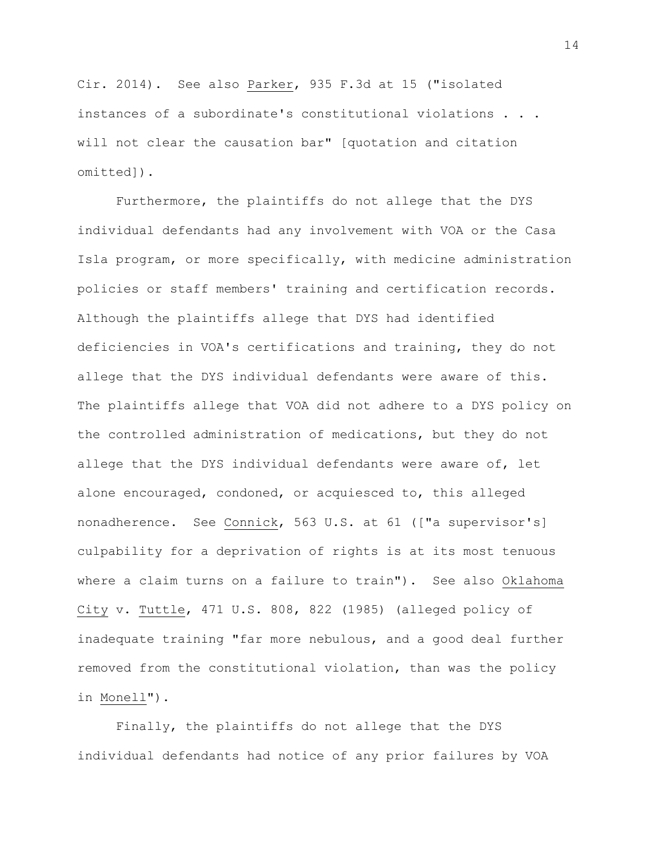Cir. 2014). See also Parker, 935 F.3d at 15 ("isolated instances of a subordinate's constitutional violations . . . will not clear the causation bar" [quotation and citation omitted]).

Furthermore, the plaintiffs do not allege that the DYS individual defendants had any involvement with VOA or the Casa Isla program, or more specifically, with medicine administration policies or staff members' training and certification records. Although the plaintiffs allege that DYS had identified deficiencies in VOA's certifications and training, they do not allege that the DYS individual defendants were aware of this. The plaintiffs allege that VOA did not adhere to a DYS policy on the controlled administration of medications, but they do not allege that the DYS individual defendants were aware of, let alone encouraged, condoned, or acquiesced to, this alleged nonadherence. See Connick, 563 U.S. at 61 (["a supervisor's] culpability for a deprivation of rights is at its most tenuous where a claim turns on a failure to train"). See also Oklahoma City v. Tuttle, 471 U.S. 808, 822 (1985) (alleged policy of inadequate training "far more nebulous, and a good deal further removed from the constitutional violation, than was the policy in Monell").

Finally, the plaintiffs do not allege that the DYS individual defendants had notice of any prior failures by VOA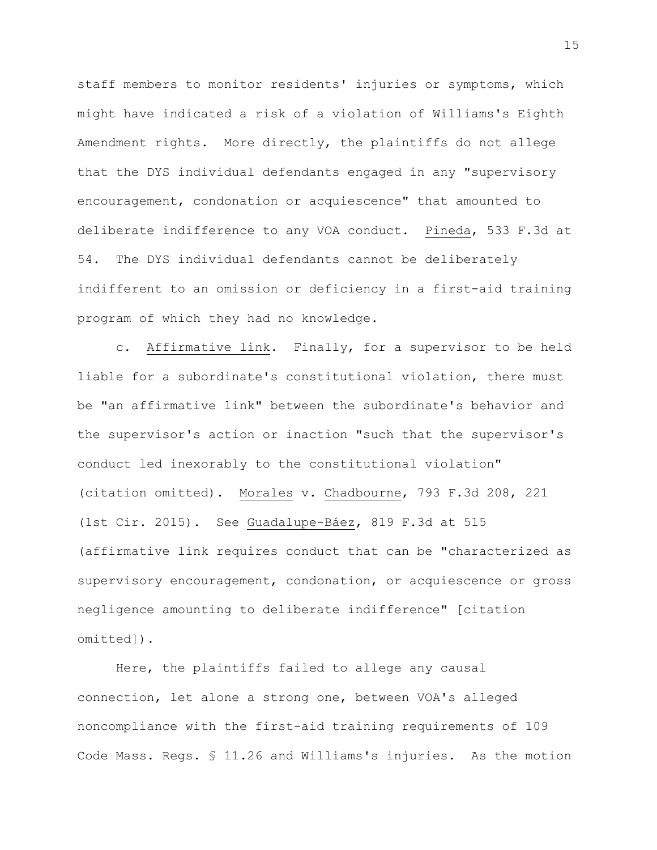staff members to monitor residents' injuries or symptoms, which might have indicated a risk of a violation of Williams's Eighth Amendment rights. More directly, the plaintiffs do not allege that the DYS individual defendants engaged in any "supervisory encouragement, condonation or acquiescence" that amounted to deliberate indifference to any VOA conduct. Pineda, 533 F.3d at 54. The DYS individual defendants cannot be deliberately indifferent to an omission or deficiency in a first-aid training program of which they had no knowledge.

c. Affirmative link. Finally, for a supervisor to be held liable for a subordinate's constitutional violation, there must be "an affirmative link" between the subordinate's behavior and the supervisor's action or inaction "such that the supervisor's conduct led inexorably to the constitutional violation" (citation omitted). Morales v. Chadbourne, 793 F.3d 208, 221 (1st Cir. 2015). See Guadalupe-Báez, 819 F.3d at 515 (affirmative link requires conduct that can be "characterized as supervisory encouragement, condonation, or acquiescence or gross negligence amounting to deliberate indifference" [citation omitted]).

Here, the plaintiffs failed to allege any causal connection, let alone a strong one, between VOA's alleged noncompliance with the first-aid training requirements of 109 Code Mass. Regs. § 11.26 and Williams's injuries. As the motion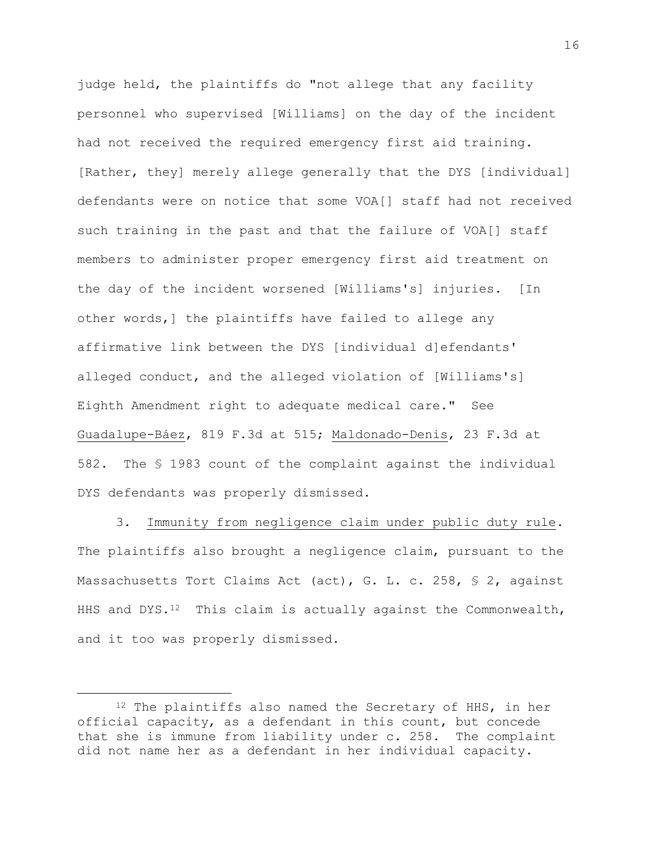judge held, the plaintiffs do "not allege that any facility personnel who supervised [Williams] on the day of the incident had not received the required emergency first aid training. [Rather, they] merely allege generally that the DYS [individual] defendants were on notice that some VOA[] staff had not received such training in the past and that the failure of VOA[] staff members to administer proper emergency first aid treatment on the day of the incident worsened [Williams's] injuries. [In other words,] the plaintiffs have failed to allege any affirmative link between the DYS [individual d]efendants' alleged conduct, and the alleged violation of [Williams's] Eighth Amendment right to adequate medical care." See Guadalupe-Báez, 819 F.3d at 515; Maldonado-Denis, 23 F.3d at 582. The § 1983 count of the complaint against the individual DYS defendants was properly dismissed.

3. Immunity from negligence claim under public duty rule. The plaintiffs also brought a negligence claim, pursuant to the Massachusetts Tort Claims Act (act), G. L. c. 258, § 2, against HHS and DYS. $12$  This claim is actually against the Commonwealth, and it too was properly dismissed.

i<br>L

<sup>&</sup>lt;sup>12</sup> The plaintiffs also named the Secretary of HHS, in her official capacity, as a defendant in this count, but concede that she is immune from liability under c. 258. The complaint did not name her as a defendant in her individual capacity.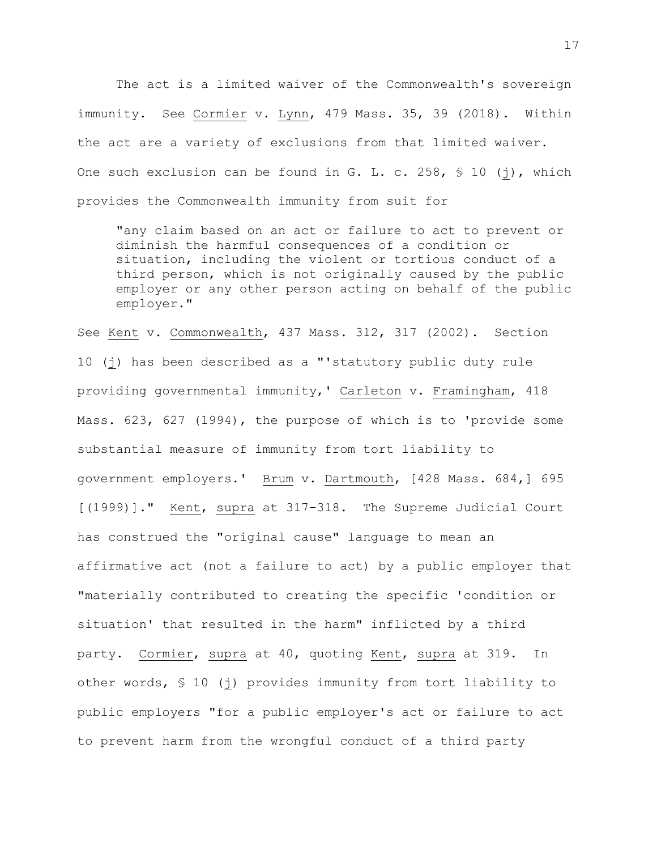The act is a limited waiver of the Commonwealth's sovereign immunity. See Cormier v. Lynn, 479 Mass. 35, 39 (2018). Within the act are a variety of exclusions from that limited waiver. One such exclusion can be found in G. L. c. 258,  $\frac{1}{5}$  10 (j), which provides the Commonwealth immunity from suit for

"any claim based on an act or failure to act to prevent or diminish the harmful consequences of a condition or situation, including the violent or tortious conduct of a third person, which is not originally caused by the public employer or any other person acting on behalf of the public employer."

See Kent v. Commonwealth, 437 Mass. 312, 317 (2002). Section 10 (j) has been described as a "'statutory public duty rule providing governmental immunity,' Carleton v. Framingham, 418 Mass. 623, 627 (1994), the purpose of which is to 'provide some substantial measure of immunity from tort liability to government employers.' Brum v. Dartmouth, [428 Mass. 684,] 695 [(1999)]." Kent, supra at 317-318. The Supreme Judicial Court has construed the "original cause" language to mean an affirmative act (not a failure to act) by a public employer that "materially contributed to creating the specific 'condition or situation' that resulted in the harm" inflicted by a third party. Cormier, supra at 40, quoting Kent, supra at 319. In other words, § 10 (j) provides immunity from tort liability to public employers "for a public employer's act or failure to act to prevent harm from the wrongful conduct of a third party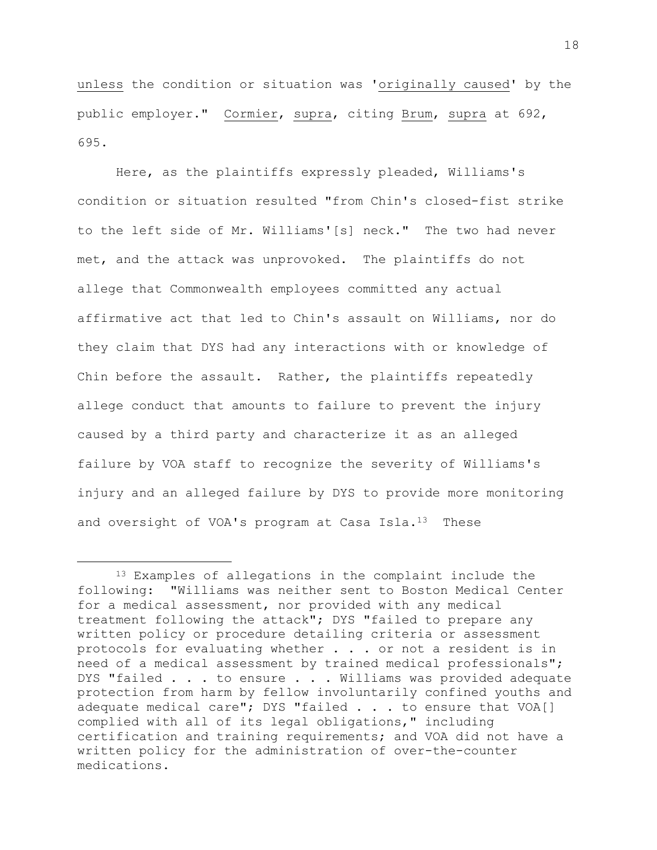unless the condition or situation was 'originally caused' by the public employer." Cormier, supra, citing Brum, supra at 692, 695.

Here, as the plaintiffs expressly pleaded, Williams's condition or situation resulted "from Chin's closed-fist strike to the left side of Mr. Williams'[s] neck." The two had never met, and the attack was unprovoked. The plaintiffs do not allege that Commonwealth employees committed any actual affirmative act that led to Chin's assault on Williams, nor do they claim that DYS had any interactions with or knowledge of Chin before the assault. Rather, the plaintiffs repeatedly allege conduct that amounts to failure to prevent the injury caused by a third party and characterize it as an alleged failure by VOA staff to recognize the severity of Williams's injury and an alleged failure by DYS to provide more monitoring and oversight of VOA's program at Casa Isla. $^{13}$  These

L,

<sup>&</sup>lt;sup>13</sup> Examples of allegations in the complaint include the following: "Williams was neither sent to Boston Medical Center for a medical assessment, nor provided with any medical treatment following the attack"; DYS "failed to prepare any written policy or procedure detailing criteria or assessment protocols for evaluating whether . . . or not a resident is in need of a medical assessment by trained medical professionals"; DYS "failed . . . to ensure . . . Williams was provided adequate protection from harm by fellow involuntarily confined youths and adequate medical care"; DYS "failed . . . to ensure that VOA[] complied with all of its legal obligations," including certification and training requirements; and VOA did not have a written policy for the administration of over-the-counter medications.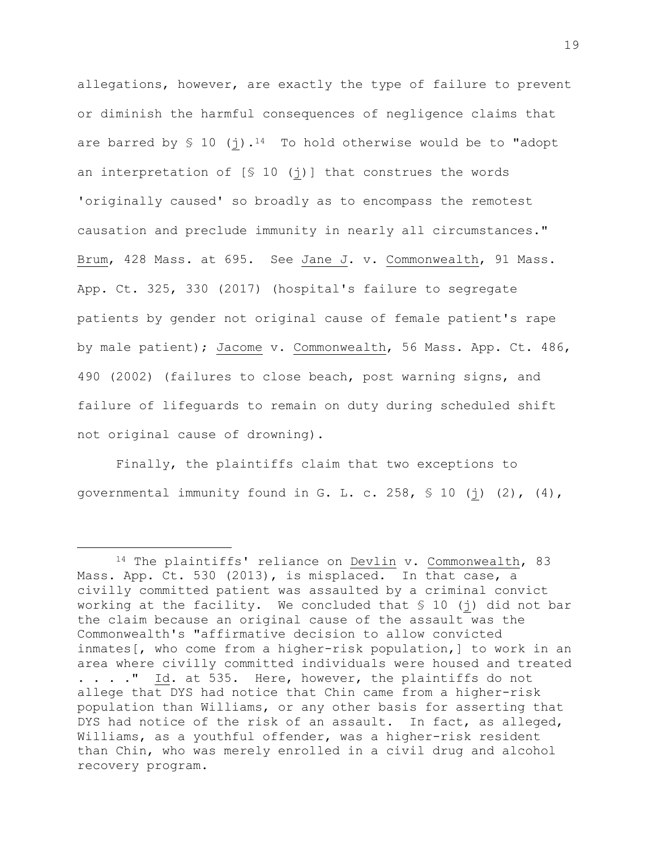allegations, however, are exactly the type of failure to prevent or diminish the harmful consequences of negligence claims that are barred by  $$ 10$  (j).<sup>14</sup> To hold otherwise would be to "adopt an interpretation of  $[$ 10 (j)]$  that construes the words 'originally caused' so broadly as to encompass the remotest causation and preclude immunity in nearly all circumstances." Brum, 428 Mass. at 695. See Jane J. v. Commonwealth, 91 Mass. App. Ct. 325, 330 (2017) (hospital's failure to segregate patients by gender not original cause of female patient's rape by male patient); Jacome v. Commonwealth, 56 Mass. App. Ct. 486, 490 (2002) (failures to close beach, post warning signs, and failure of lifeguards to remain on duty during scheduled shift not original cause of drowning).

Finally, the plaintiffs claim that two exceptions to governmental immunity found in G. L. c. 258,  $\$$  10 (j) (2), (4),

i<br>L

<sup>14</sup> The plaintiffs' reliance on Devlin v. Commonwealth, 83 Mass. App. Ct. 530 (2013), is misplaced. In that case, a civilly committed patient was assaulted by a criminal convict working at the facility. We concluded that § 10 (j) did not bar the claim because an original cause of the assault was the Commonwealth's "affirmative decision to allow convicted inmates[, who come from a higher-risk population,] to work in an area where civilly committed individuals were housed and treated . . . ." Id. at 535. Here, however, the plaintiffs do not allege that DYS had notice that Chin came from a higher-risk population than Williams, or any other basis for asserting that DYS had notice of the risk of an assault. In fact, as alleged, Williams, as a youthful offender, was a higher-risk resident than Chin, who was merely enrolled in a civil drug and alcohol recovery program.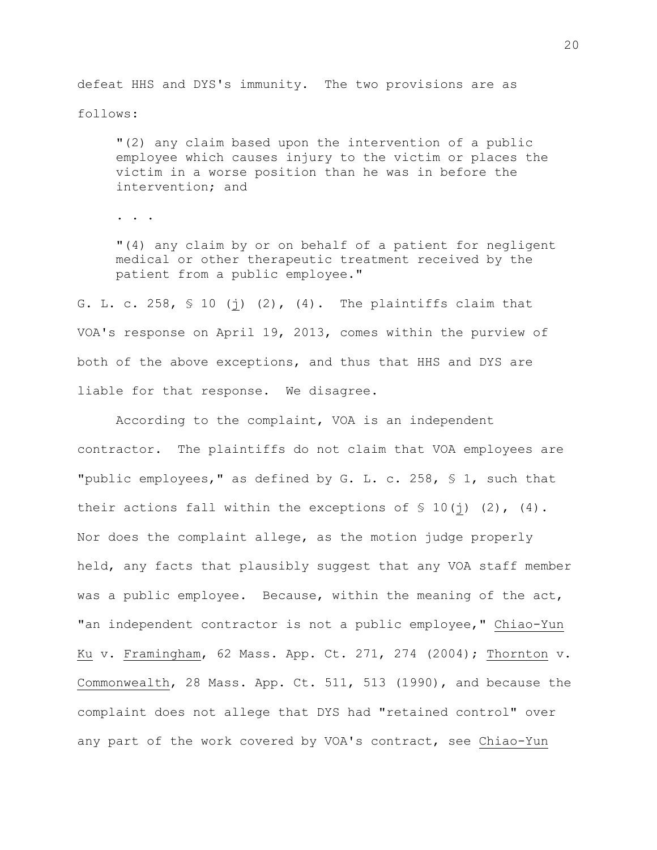defeat HHS and DYS's immunity. The two provisions are as follows:

"(2) any claim based upon the intervention of a public employee which causes injury to the victim or places the victim in a worse position than he was in before the intervention; and

. . .

"(4) any claim by or on behalf of a patient for negligent medical or other therapeutic treatment received by the patient from a public employee."

G. L. c. 258,  $\frac{10}{10}$  (j) (2), (4). The plaintiffs claim that VOA's response on April 19, 2013, comes within the purview of both of the above exceptions, and thus that HHS and DYS are liable for that response. We disagree.

According to the complaint, VOA is an independent contractor. The plaintiffs do not claim that VOA employees are "public employees," as defined by G. L. c. 258, § 1, such that their actions fall within the exceptions of  $\frac{1}{2}$  (1)(j) (2), (4). Nor does the complaint allege, as the motion judge properly held, any facts that plausibly suggest that any VOA staff member was a public employee. Because, within the meaning of the act, "an independent contractor is not a public employee," Chiao-Yun Ku v. Framingham, 62 Mass. App. Ct. 271, 274 (2004); Thornton v. Commonwealth, 28 Mass. App. Ct. 511, 513 (1990), and because the complaint does not allege that DYS had "retained control" over any part of the work covered by VOA's contract, see Chiao-Yun